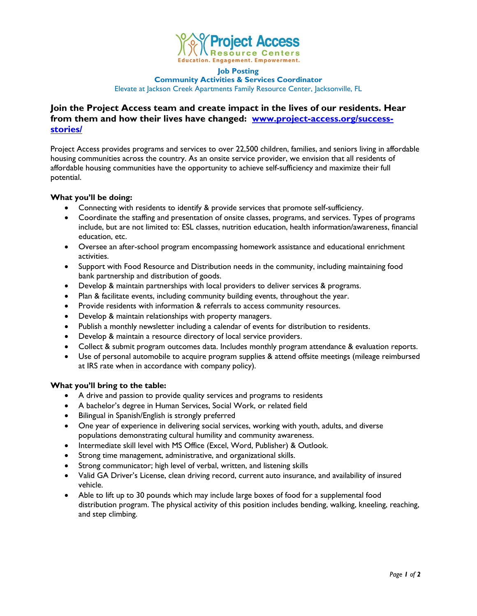

#### **Job Posting**

**Community Activities & Services Coordinator**

Elevate at Jackson Creek Apartments Family Resource Center, Jacksonville, FL

# **Join the Project Access team and create impact in the lives of our residents. Hear from them and how their lives have changed: [www.project-access.org/success](http://www.project-access.org/success-stories/)[stories/](http://www.project-access.org/success-stories/)**

Project Access provides programs and services to over 22,500 children, families, and seniors living in affordable housing communities across the country. As an onsite service provider, we envision that all residents of affordable housing communities have the opportunity to achieve self-sufficiency and maximize their full potential.

## **What you'll be doing:**

- Connecting with residents to identify & provide services that promote self-sufficiency.
- Coordinate the staffing and presentation of onsite classes, programs, and services. Types of programs include, but are not limited to: ESL classes, nutrition education, health information/awareness, financial education, etc.
- Oversee an after-school program encompassing homework assistance and educational enrichment activities.
- Support with Food Resource and Distribution needs in the community, including maintaining food bank partnership and distribution of goods.
- Develop & maintain partnerships with local providers to deliver services & programs.
- Plan & facilitate events, including community building events, throughout the year.
- Provide residents with information & referrals to access community resources.
- Develop & maintain relationships with property managers.
- Publish a monthly newsletter including a calendar of events for distribution to residents.
- Develop & maintain a resource directory of local service providers.
- Collect & submit program outcomes data. Includes monthly program attendance & evaluation reports.
- Use of personal automobile to acquire program supplies & attend offsite meetings (mileage reimbursed at IRS rate when in accordance with company policy).

### **What you'll bring to the table:**

- A drive and passion to provide quality services and programs to residents
- A bachelor's degree in Human Services, Social Work, or related field
- Bilingual in Spanish/English is strongly preferred
- One year of experience in delivering social services, working with youth, adults, and diverse populations demonstrating cultural humility and community awareness.
- Intermediate skill level with MS Office (Excel, Word, Publisher) & Outlook.
- Strong time management, administrative, and organizational skills.
- Strong communicator; high level of verbal, written, and listening skills
- Valid GA Driver's License, clean driving record, current auto insurance, and availability of insured vehicle.
- Able to lift up to 30 pounds which may include large boxes of food for a supplemental food distribution program. The physical activity of this position includes bending, walking, kneeling, reaching, and step climbing.